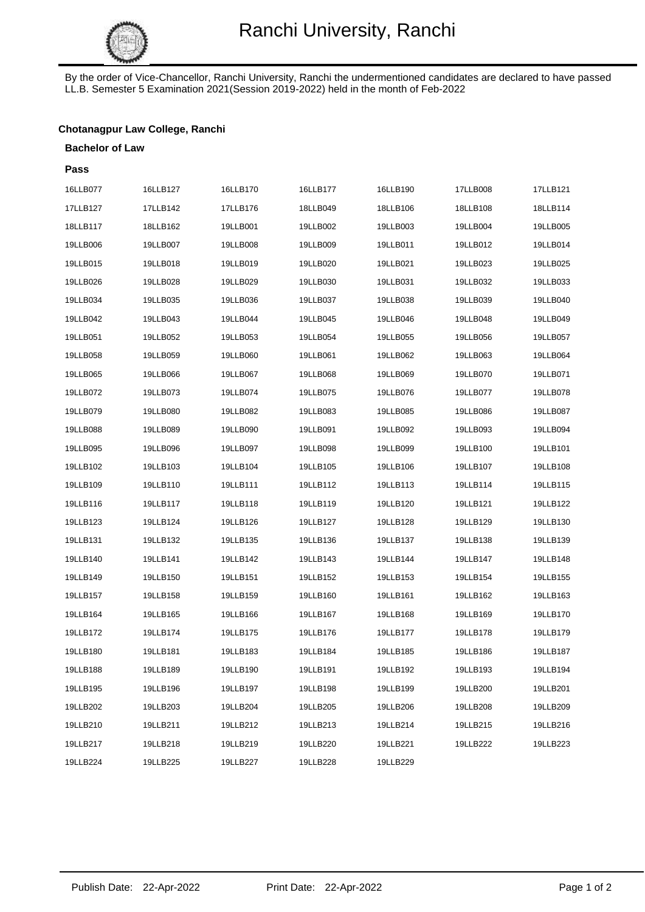

By the order of Vice-Chancellor, Ranchi University, Ranchi the undermentioned candidates are declared to have passed LL.B. Semester 5 Examination 2021(Session 2019-2022) held in the month of Feb-2022

# **Chotanagpur Law College, Ranchi**

#### **Bachelor of Law**

| Pass     |          |          |          |          |          |          |
|----------|----------|----------|----------|----------|----------|----------|
| 16LLB077 | 16LLB127 | 16LLB170 | 16LLB177 | 16LLB190 | 17LLB008 | 17LLB121 |
| 17LLB127 | 17LLB142 | 17LLB176 | 18LLB049 | 18LLB106 | 18LLB108 | 18LLB114 |
| 18LLB117 | 18LLB162 | 19LLB001 | 19LLB002 | 19LLB003 | 19LLB004 | 19LLB005 |
| 19LLB006 | 19LLB007 | 19LLB008 | 19LLB009 | 19LLB011 | 19LLB012 | 19LLB014 |
| 19LLB015 | 19LLB018 | 19LLB019 | 19LLB020 | 19LLB021 | 19LLB023 | 19LLB025 |
| 19LLB026 | 19LLB028 | 19LLB029 | 19LLB030 | 19LLB031 | 19LLB032 | 19LLB033 |
| 19LLB034 | 19LLB035 | 19LLB036 | 19LLB037 | 19LLB038 | 19LLB039 | 19LLB040 |
| 19LLB042 | 19LLB043 | 19LLB044 | 19LLB045 | 19LLB046 | 19LLB048 | 19LLB049 |
| 19LLB051 | 19LLB052 | 19LLB053 | 19LLB054 | 19LLB055 | 19LLB056 | 19LLB057 |
| 19LLB058 | 19LLB059 | 19LLB060 | 19LLB061 | 19LLB062 | 19LLB063 | 19LLB064 |
| 19LLB065 | 19LLB066 | 19LLB067 | 19LLB068 | 19LLB069 | 19LLB070 | 19LLB071 |
| 19LLB072 | 19LLB073 | 19LLB074 | 19LLB075 | 19LLB076 | 19LLB077 | 19LLB078 |
| 19LLB079 | 19LLB080 | 19LLB082 | 19LLB083 | 19LLB085 | 19LLB086 | 19LLB087 |
| 19LLB088 | 19LLB089 | 19LLB090 | 19LLB091 | 19LLB092 | 19LLB093 | 19LLB094 |
| 19LLB095 | 19LLB096 | 19LLB097 | 19LLB098 | 19LLB099 | 19LLB100 | 19LLB101 |
| 19LLB102 | 19LLB103 | 19LLB104 | 19LLB105 | 19LLB106 | 19LLB107 | 19LLB108 |
| 19LLB109 | 19LLB110 | 19LLB111 | 19LLB112 | 19LLB113 | 19LLB114 | 19LLB115 |
| 19LLB116 | 19LLB117 | 19LLB118 | 19LLB119 | 19LLB120 | 19LLB121 | 19LLB122 |
| 19LLB123 | 19LLB124 | 19LLB126 | 19LLB127 | 19LLB128 | 19LLB129 | 19LLB130 |
| 19LLB131 | 19LLB132 | 19LLB135 | 19LLB136 | 19LLB137 | 19LLB138 | 19LLB139 |
| 19LLB140 | 19LLB141 | 19LLB142 | 19LLB143 | 19LLB144 | 19LLB147 | 19LLB148 |
| 19LLB149 | 19LLB150 | 19LLB151 | 19LLB152 | 19LLB153 | 19LLB154 | 19LLB155 |
| 19LLB157 | 19LLB158 | 19LLB159 | 19LLB160 | 19LLB161 | 19LLB162 | 19LLB163 |
| 19LLB164 | 19LLB165 | 19LLB166 | 19LLB167 | 19LLB168 | 19LLB169 | 19LLB170 |
| 19LLB172 | 19LLB174 | 19LLB175 | 19LLB176 | 19LLB177 | 19LLB178 | 19LLB179 |
| 19LLB180 | 19LLB181 | 19LLB183 | 19LLB184 | 19LLB185 | 19LLB186 | 19LLB187 |
| 19LLB188 | 19LLB189 | 19LLB190 | 19LLB191 | 19LLB192 | 19LLB193 | 19LLB194 |
| 19LLB195 | 19LLB196 | 19LLB197 | 19LLB198 | 19LLB199 | 19LLB200 | 19LLB201 |
| 19LLB202 | 19LLB203 | 19LLB204 | 19LLB205 | 19LLB206 | 19LLB208 | 19LLB209 |
| 19LLB210 | 19LLB211 | 19LLB212 | 19LLB213 | 19LLB214 | 19LLB215 | 19LLB216 |
| 19LLB217 | 19LLB218 | 19LLB219 | 19LLB220 | 19LLB221 | 19LLB222 | 19LLB223 |
| 19LLB224 | 19LLB225 | 19LLB227 | 19LLB228 | 19LLB229 |          |          |